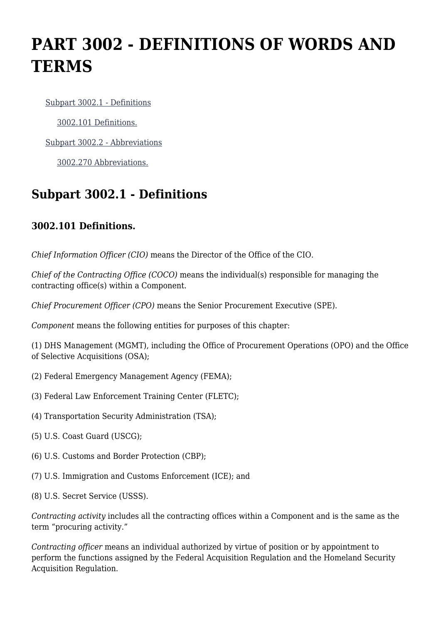# **PART 3002 - DEFINITIONS OF WORDS AND TERMS**

[Subpart 3002.1 - Definitions](https://origin-www.acquisition.gov/%5Brp:link:hsar-part-3002%5D#Subpart_3002_1_T48_702831)

[3002.101 Definitions.](https://origin-www.acquisition.gov/%5Brp:link:hsar-part-3002%5D#Section_3002_101_T48_70283111)

[Subpart 3002.2 - Abbreviations](https://origin-www.acquisition.gov/%5Brp:link:hsar-part-3002%5D#Subpart_3002_2_T48_702832)

[3002.270 Abbreviations.](https://origin-www.acquisition.gov/%5Brp:link:hsar-part-3002%5D#Section_3002_270_T48_70283211)

## **Subpart 3002.1 - Definitions**

#### **3002.101 Definitions.**

*Chief Information Officer (CIO)* means the Director of the Office of the CIO.

*Chief of the Contracting Office (COCO)* means the individual(s) responsible for managing the contracting office(s) within a Component.

*Chief Procurement Officer (CPO)* means the Senior Procurement Executive (SPE).

*Component* means the following entities for purposes of this chapter:

(1) DHS Management (MGMT), including the Office of Procurement Operations (OPO) and the Office of Selective Acquisitions (OSA);

- (2) Federal Emergency Management Agency (FEMA);
- (3) Federal Law Enforcement Training Center (FLETC);
- (4) Transportation Security Administration (TSA);
- (5) U.S. Coast Guard (USCG);
- (6) U.S. Customs and Border Protection (CBP);
- (7) U.S. Immigration and Customs Enforcement (ICE); and
- (8) U.S. Secret Service (USSS).

*Contracting activity* includes all the contracting offices within a Component and is the same as the term "procuring activity."

*Contracting officer* means an individual authorized by virtue of position or by appointment to perform the functions assigned by the Federal Acquisition Regulation and the Homeland Security Acquisition Regulation.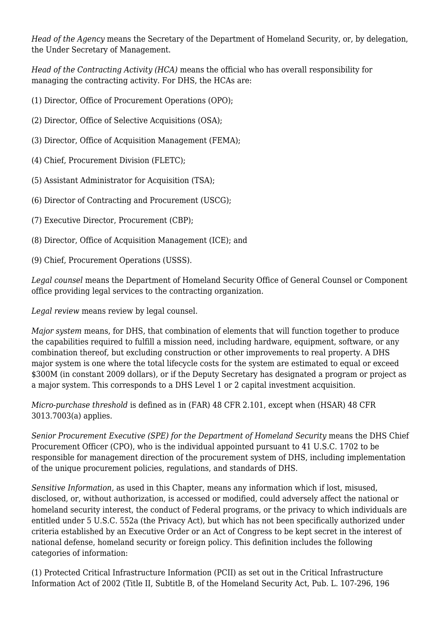*Head of the Agency* means the Secretary of the Department of Homeland Security, or, by delegation, the Under Secretary of Management.

*Head of the Contracting Activity (HCA)* means the official who has overall responsibility for managing the contracting activity. For DHS, the HCAs are:

- (1) Director, Office of Procurement Operations (OPO);
- (2) Director, Office of Selective Acquisitions (OSA);
- (3) Director, Office of Acquisition Management (FEMA);
- (4) Chief, Procurement Division (FLETC);
- (5) Assistant Administrator for Acquisition (TSA);
- (6) Director of Contracting and Procurement (USCG);
- (7) Executive Director, Procurement (CBP);
- (8) Director, Office of Acquisition Management (ICE); and
- (9) Chief, Procurement Operations (USSS).

*Legal counsel* means the Department of Homeland Security Office of General Counsel or Component office providing legal services to the contracting organization.

*Legal review* means review by legal counsel.

*Major system* means, for DHS, that combination of elements that will function together to produce the capabilities required to fulfill a mission need, including hardware, equipment, software, or any combination thereof, but excluding construction or other improvements to real property. A DHS major system is one where the total lifecycle costs for the system are estimated to equal or exceed \$300M (in constant 2009 dollars), or if the Deputy Secretary has designated a program or project as a major system. This corresponds to a DHS Level 1 or 2 capital investment acquisition.

*Micro-purchase threshold* is defined as in (FAR) 48 CFR 2.101, except when (HSAR) 48 CFR 3013.7003(a) applies.

*Senior Procurement Executive (SPE) for the Department of Homeland Security* means the DHS Chief Procurement Officer (CPO), who is the individual appointed pursuant to 41 U.S.C. 1702 to be responsible for management direction of the procurement system of DHS, including implementation of the unique procurement policies, regulations, and standards of DHS.

*Sensitive Information,* as used in this Chapter, means any information which if lost, misused, disclosed, or, without authorization, is accessed or modified, could adversely affect the national or homeland security interest, the conduct of Federal programs, or the privacy to which individuals are entitled under 5 U.S.C. 552a (the Privacy Act), but which has not been specifically authorized under criteria established by an Executive Order or an Act of Congress to be kept secret in the interest of national defense, homeland security or foreign policy. This definition includes the following categories of information:

(1) Protected Critical Infrastructure Information (PCII) as set out in the Critical Infrastructure Information Act of 2002 (Title II, Subtitle B, of the Homeland Security Act, Pub. L. 107-296, 196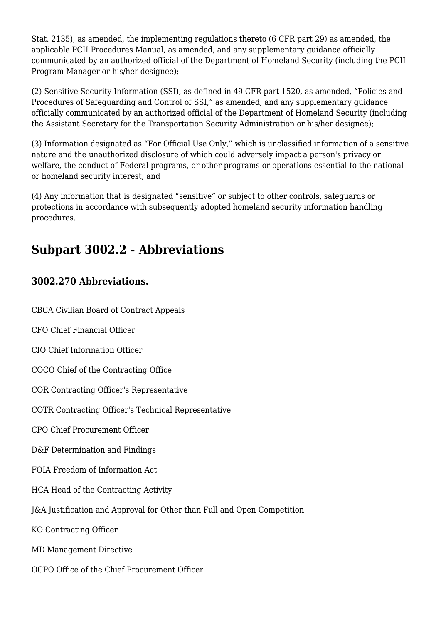Stat. 2135), as amended, the implementing regulations thereto (6 CFR part 29) as amended, the applicable PCII Procedures Manual, as amended, and any supplementary guidance officially communicated by an authorized official of the Department of Homeland Security (including the PCII Program Manager or his/her designee);

(2) Sensitive Security Information (SSI), as defined in 49 CFR part 1520, as amended, "Policies and Procedures of Safeguarding and Control of SSI," as amended, and any supplementary guidance officially communicated by an authorized official of the Department of Homeland Security (including the Assistant Secretary for the Transportation Security Administration or his/her designee);

(3) Information designated as "For Official Use Only," which is unclassified information of a sensitive nature and the unauthorized disclosure of which could adversely impact a person's privacy or welfare, the conduct of Federal programs, or other programs or operations essential to the national or homeland security interest; and

(4) Any information that is designated "sensitive" or subject to other controls, safeguards or protections in accordance with subsequently adopted homeland security information handling procedures.

## **Subpart 3002.2 - Abbreviations**

### **3002.270 Abbreviations.**

CBCA Civilian Board of Contract Appeals

CFO Chief Financial Officer

CIO Chief Information Officer

COCO Chief of the Contracting Office

COR Contracting Officer's Representative

COTR Contracting Officer's Technical Representative

CPO Chief Procurement Officer

D&F Determination and Findings

FOIA Freedom of Information Act

HCA Head of the Contracting Activity

J&A Justification and Approval for Other than Full and Open Competition

KO Contracting Officer

MD Management Directive

OCPO Office of the Chief Procurement Officer